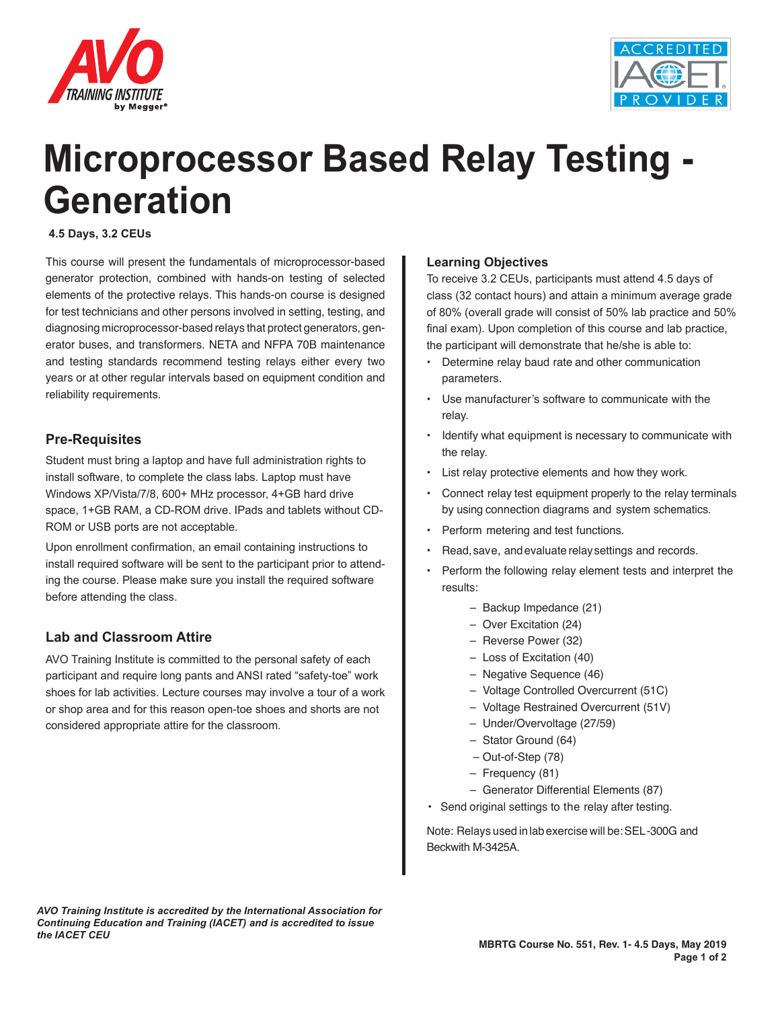



# **Microprocessor Based Relay Testing - Generation**

#### **4.5 Days, 3.2 CEUs**

This course will present the fundamentals of microprocessor-based generator protection, combined with hands-on testing of selected elements of the protective relays. This hands-on course is designed for test technicians and other persons involved in setting, testing, and diagnosing microprocessor-based relays that protect generators, generator buses, and transformers. NETA and NFPA 70B maintenance and testing standards recommend testing relays either every two years or at other regular intervals based on equipment condition and reliability requirements.

#### **Pre-Requisites**

Student must bring a laptop and have full administration rights to install software, to complete the class labs. Laptop must have Windows XP/Vista/7/8, 600+ MHz processor, 4+GB hard drive space, 1+GB RAM, a CD-ROM drive. IPads and tablets without CD-ROM or USB ports are not acceptable.

Upon enrollment confirmation, an email containing instructions to install required software will be sent to the participant prior to attending the course. Please make sure you install the required software before attending the class.

### **Lab and Classroom Attire**

AVO Training Institute is committed to the personal safety of each participant and require long pants and ANSI rated "safety-toe" work shoes for lab activities. Lecture courses may involve a tour of a work or shop area and for this reason open-toe shoes and shorts are not considered appropriate attire for the classroom.

#### **Learning Objectives**

To receive 3.2 CEUs, participants must attend 4.5 days of class (32 contact hours) and attain a minimum average grade of 80% (overall grade will consist of 50% lab practice and 50% final exam). Upon completion of this course and lab practice, the participant will demonstrate that he/she is able to:

- Determine relay baud rate and other communication parameters.
- Use manufacturer's software to communicate with the relay.
- Identify what equipment is necessary to communicate with the relay.
- List relay protective elements and how they work.
- Connect relay test equipment properly to the relay terminals by using connection diagrams and system schematics.
- Perform metering and test functions.
- Read, save, and evaluate relay settings and records.
- Perform the following relay element tests and interpret the results:
	- Backup Impedance (21)
	- Over Excitation (24)
	- Reverse Power (32)
	- Loss of Excitation (40)
	- Negative Sequence (46)
	- Voltage Controlled Overcurrent (51C)
	- Voltage Restrained Overcurrent (51V)
	- Under/Overvoltage (27/59)
	- Stator Ground (64)
	- Out-of-Step (78)
	- Frequency (81)
	- Generator Differential Elements (87)
	- Send original settings to the relay after testing.

Note: Relays used in lab exercise will be: SEL-300G and Beckwith M-3425A.

*AVO Training Institute is accredited by the International Association for Continuing Education and Training (IACET) and is accredited to issue the IACET CEU*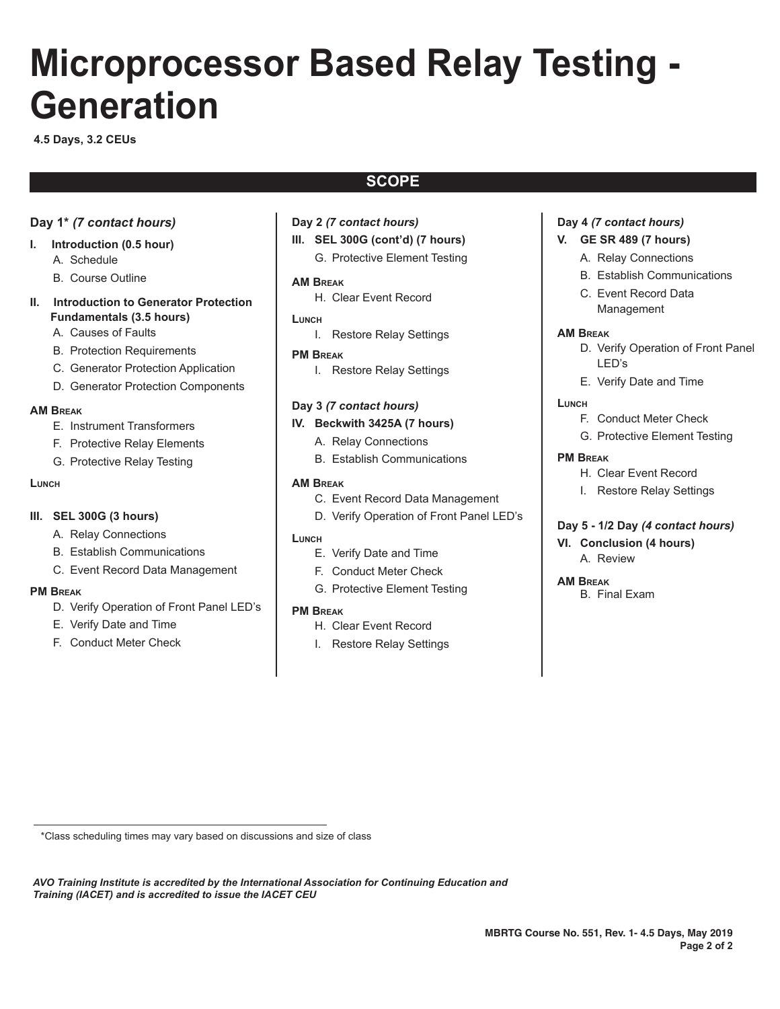# **Microprocessor Based Relay Testing - Generation**

**4.5 Days, 3.2 CEUs**

## **SCOPE**

#### **Day 1\*** *(7 contact hours)*

- **I. Introduction (0.5 hour)**
	- A. Schedule
	- B. Course Outline
- **II. Introduction to Generator Protection Fundamentals (3.5 hours)**
	- A. Causes of Faults
	- B. Protection Requirements
	- C. Generator Protection Application
	- D. Generator Protection Components

#### **AM Break**

- E. Instrument Transformers
- F. Protective Relay Elements
- G. Protective Relay Testing

#### **Lunch**

#### **III. SEL 300G (3 hours)**

- A. Relay Connections
- B. Establish Communications
- C. Event Record Data Management

#### **PM Break**

- D. Verify Operation of Front Panel LED's
- E. Verify Date and Time
- F. Conduct Meter Check
- **Day 2** *(7 contact hours)*
- **III. SEL 300G (cont'd) (7 hours)**
	- G. Protective Element Testing

#### **AM Break**

H. Clear Event Record

#### **Lunch**

- I. Restore Relay Settings
- **PM Break**
	- I. Restore Relay Settings

#### **Day 3** *(7 contact hours)*

#### **IV. Beckwith 3425A (7 hours)**

#### **AM Break**

- C. Event Record Data Management
- D. Verify Operation of Front Panel LED's

#### **Lunch**

- E. Verify Date and Time
- F. Conduct Meter Check
- G. Protective Element Testing

#### **PM Break**

- H. Clear Event Record
- I. Restore Relay Settings

#### **Day 4** *(7 contact hours)*

#### **V. GE SR 489 (7 hours)**

- A. Relay Connections
- B. Establish Communications
- C. Event Record Data Management

#### **AM Break**

- D. Verify Operation of Front Panel LED's
- E. Verify Date and Time

#### **Lunch**

- F. Conduct Meter Check
- G. Protective Element Testing

#### **PM Break**

- H. Clear Event Record
- I. Restore Relay Settings

#### **Day 5 - 1/2 Day** *(4 contact hours)*

**VI. Conclusion (4 hours)** A. Review

#### **AM Break**

B. Final Exam

\*Class scheduling times may vary based on discussions and size of class

*AVO Training Institute is accredited by the International Association for Continuing Education and Training (IACET) and is accredited to issue the IACET CEU*

- 
- A. Relay Connections
- B. Establish Communications